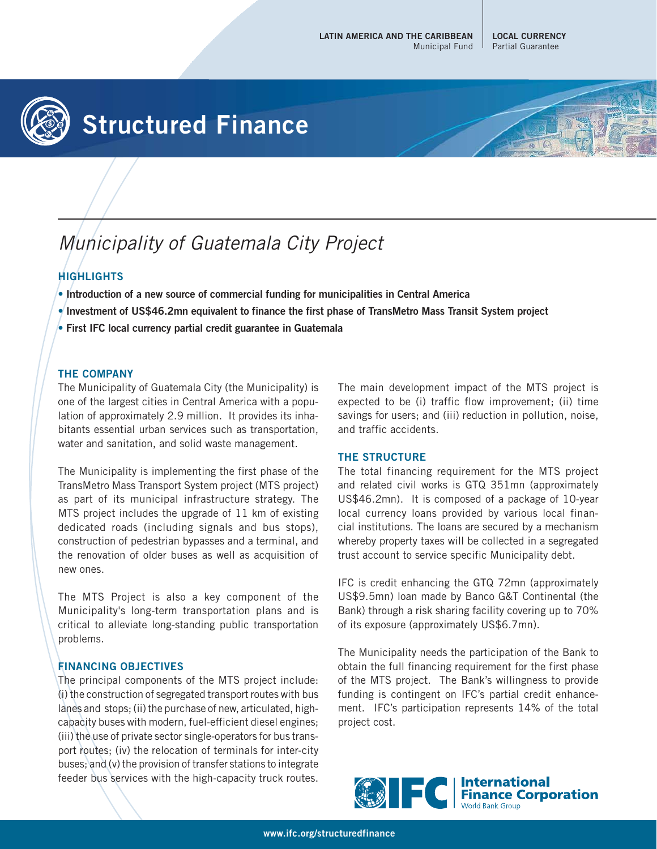

# **Structured Finance**

## Municipality of Guatemala City Project

### **HIGHLIGHTS**

- **Introduction of a new source of commercial funding for municipalities in Central America**
- **Investment of US\$46.2mn equivalent to finance the first phase of TransMetro Mass Transit System project**
- **First IFC local currency partial credit guarantee in Guatemala**

#### **THE COMPANY**

The Municipality of Guatemala City (the Municipality) is one of the largest cities in Central America with a population of approximately 2.9 million. It provides its inhabitants essential urban services such as transportation, water and sanitation, and solid waste management.

The Municipality is implementing the first phase of the TransMetro Mass Transport System project (MTS project) as part of its municipal infrastructure strategy. The MTS project includes the upgrade of 11 km of existing dedicated roads (including signals and bus stops), construction of pedestrian bypasses and a terminal, and the renovation of older buses as well as acquisition of new ones.

The MTS Project is also a key component of the Municipality's long-term transportation plans and is critical to alleviate long-standing public transportation problems.

#### **FINANCING OBJECTIVES**

The principal components of the MTS project include: (i) the construction of segregated transport routes with bus lanes and stops; (ii) the purchase of new, articulated, highcapacity buses with modern, fuel-efficient diesel engines; (iii) the use of private sector single-operators for bus transport routes; (iv) the relocation of terminals for inter-city buses; and (v) the provision of transfer stations to integrate feeder bus services with the high-capacity truck routes.

The main development impact of the MTS project is expected to be (i) traffic flow improvement; (ii) time savings for users; and (iii) reduction in pollution, noise, and traffic accidents.

#### **THE STRUCTURE**

The total financing requirement for the MTS project and related civil works is GTQ 351mn (approximately US\$46.2mn). It is composed of a package of 10-year local currency loans provided by various local financial institutions. The loans are secured by a mechanism whereby property taxes will be collected in a segregated trust account to service specific Municipality debt.

IFC is credit enhancing the GTQ 72mn (approximately US\$9.5mn) loan made by Banco G&T Continental (the Bank) through a risk sharing facility covering up to 70% of its exposure (approximately US\$6.7mn).

The Municipality needs the participation of the Bank to obtain the full financing requirement for the first phase of the MTS project. The Bank's willingness to provide funding is contingent on IFC's partial credit enhancement. IFC's participation represents 14% of the total project cost.